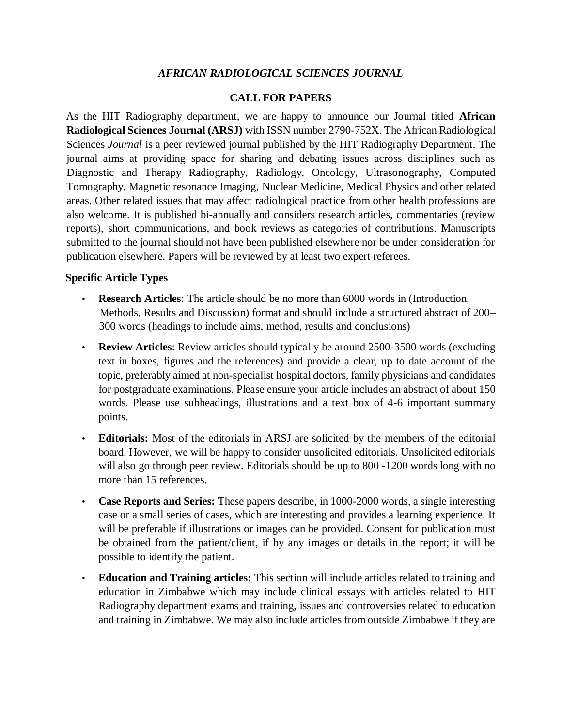# *AFRICAN RADIOLOGICAL SCIENCES JOURNAL*

#### **CALL FOR PAPERS**

As the HIT Radiography department, we are happy to announce our Journal titled **African Radiological Sciences Journal (ARSJ)** with ISSN number 2790-752X. The African Radiological Sciences *Journal* is a peer reviewed journal published by the HIT Radiography Department. The journal aims at providing space for sharing and debating issues across disciplines such as Diagnostic and Therapy Radiography, Radiology, Oncology, Ultrasonography, Computed Tomography, Magnetic resonance Imaging, Nuclear Medicine, Medical Physics and other related areas. Other related issues that may affect radiological practice from other health professions are also welcome. It is published bi-annually and considers research articles, commentaries (review reports), short communications, and book reviews as categories of contributions. Manuscripts submitted to the journal should not have been published elsewhere nor be under consideration for publication elsewhere. Papers will be reviewed by at least two expert referees.

### **Specific Article Types**

- **Research Articles**: The article should be no more than 6000 words in (Introduction, Methods, Results and Discussion) format and should include a structured abstract of 200– 300 words (headings to include aims, method, results and conclusions)
- **Review Articles**: Review articles should typically be around 2500-3500 words (excluding text in boxes, figures and the references) and provide a clear, up to date account of the topic, preferably aimed at non-specialist hospital doctors, family physicians and candidates for postgraduate examinations. Please ensure your article includes an abstract of about 150 words. Please use subheadings, illustrations and a text box of 4-6 important summary points.
- **Editorials:** Most of the editorials in ARSJ are solicited by the members of the editorial board. However, we will be happy to consider unsolicited editorials. Unsolicited editorials will also go through peer review. Editorials should be up to 800 -1200 words long with no more than 15 references.
- **Case Reports and Series:** These papers describe, in 1000-2000 words, a single interesting case or a small series of cases, which are interesting and provides a learning experience. It will be preferable if illustrations or images can be provided. Consent for publication must be obtained from the patient/client, if by any images or details in the report; it will be possible to identify the patient.
- **Education and Training articles:** This section will include articles related to training and education in Zimbabwe which may include clinical essays with articles related to HIT Radiography department exams and training, issues and controversies related to education and training in Zimbabwe. We may also include articles from outside Zimbabwe if they are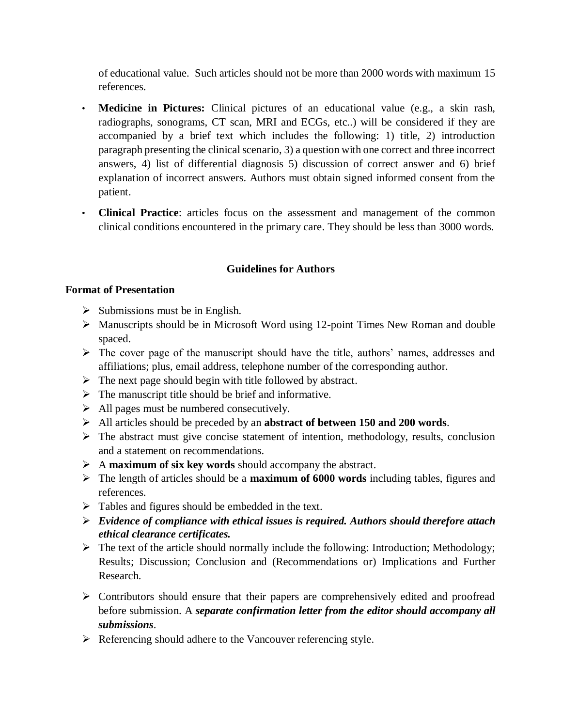of educational value. Such articles should not be more than 2000 words with maximum 15 references.

- **Medicine in Pictures:** Clinical pictures of an educational value (e.g., a skin rash, radiographs, sonograms, CT scan, MRI and ECGs, etc..) will be considered if they are accompanied by a brief text which includes the following: 1) title, 2) introduction paragraph presenting the clinical scenario, 3) a question with one correct and three incorrect answers, 4) list of differential diagnosis 5) discussion of correct answer and 6) brief explanation of incorrect answers. Authors must obtain signed informed consent from the patient.
- **Clinical Practice**: articles focus on the assessment and management of the common clinical conditions encountered in the primary care. They should be less than 3000 words.

## **Guidelines for Authors**

## **Format of Presentation**

- $\triangleright$  Submissions must be in English.
- $\triangleright$  Manuscripts should be in Microsoft Word using 12-point Times New Roman and double spaced.
- $\triangleright$  The cover page of the manuscript should have the title, authors' names, addresses and affiliations; plus, email address, telephone number of the corresponding author.
- $\triangleright$  The next page should begin with title followed by abstract.
- $\triangleright$  The manuscript title should be brief and informative.
- $\triangleright$  All pages must be numbered consecutively.
- All articles should be preceded by an **abstract of between 150 and 200 words**.
- $\triangleright$  The abstract must give concise statement of intention, methodology, results, conclusion and a statement on recommendations.
- A **maximum of six key words** should accompany the abstract.
- The length of articles should be a **maximum of 6000 words** including tables, figures and references.
- $\triangleright$  Tables and figures should be embedded in the text.
- *Evidence of compliance with ethical issues is required. Authors should therefore attach ethical clearance certificates.*
- $\triangleright$  The text of the article should normally include the following: Introduction; Methodology; Results; Discussion; Conclusion and (Recommendations or) Implications and Further Research.
- $\triangleright$  Contributors should ensure that their papers are comprehensively edited and proofread before submission. A *separate confirmation letter from the editor should accompany all submissions*.
- $\triangleright$  Referencing should adhere to the Vancouver referencing style.